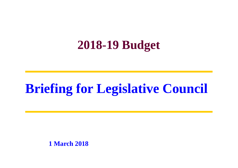### **2018-19 Budget**

## **Briefing for Legislative Council**

**1 March 2018**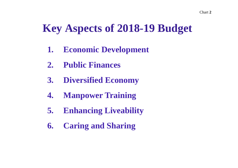### **Key Aspects of 2018-19 Budget**

- **1. Economic Development**
- **2. Public Finances**
- **3. Diversified Economy**
- **4. Manpower Training**
- **5. Enhancing Liveability**
- **6. Caring and Sharing**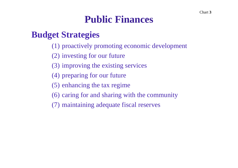#### **Public Finances**

#### **Budget Strategies**

- (1) proactively promoting economic development
- (2) investing for our future
- (3) improving the existing services
- (4) preparing for our future
- (5) enhancing the tax regime
- (6) caring for and sharing with the community
- (7) maintaining adequate fiscal reserves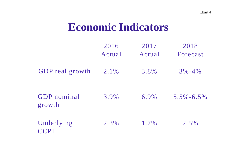### **Economic Indicators**

|                              | 2016<br>Actual | 2017<br>Actual | 2018<br>Forecast |
|------------------------------|----------------|----------------|------------------|
| <b>GDP</b> real growth       | $2.1\%$        | 3.8%           | $3\% - 4\%$      |
| <b>GDP</b> nominal<br>growth | 3.9%           | 6.9%           | $5.5\% - 6.5\%$  |
| Underlying<br><b>CCPI</b>    | 2.3%           | $1.7\%$        | $2.5\%$          |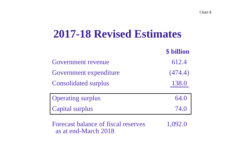### **2017-18 Revised Estimates**

|                             | <b>\$</b> billion |
|-----------------------------|-------------------|
| Government revenue          | 612.4             |
| Government expenditure      | (474.4)           |
| <b>Consolidated surplus</b> | 138.0             |
| <b>Operating surplus</b>    | 64.0              |
| <b>Capital surplus</b>      | 74.0              |

Forecast balance of fiscal reserves 1,092.0 as at end-March 2018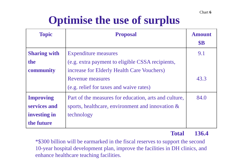Chart**6**

### **Optimise the use of surplus**

| <b>Topic</b>        | <b>Proposal</b>                                       | <b>Amount</b> |
|---------------------|-------------------------------------------------------|---------------|
|                     |                                                       | \$B           |
| <b>Sharing with</b> | <b>Expenditure measures</b>                           | 9.1           |
| the                 | (e.g. extra payment to eligible CSSA recipients,      |               |
| community           | increase for Elderly Health Care Vouchers)            |               |
|                     | Revenue measures                                      | 43.3          |
|                     | (e.g. relief for taxes and waive rates)               |               |
| <b>Improving</b>    | Part of the measures for education, arts and culture, | 84.0          |
| services and        | sports, healthcare, environment and innovation &      |               |
| investing in        | technology                                            |               |
| the future          |                                                       |               |

#### **Total 136.4**

\*\$300 billion will be earmarked in the fiscal reserves to support the second 10-year hospital development plan, improve the facilities in DH clinics, and enhance healthcare teaching facilities.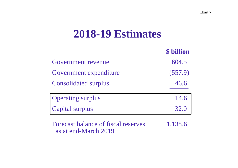### **2018-19 Estimates**

|                             | \$ billion |
|-----------------------------|------------|
| <b>Government revenue</b>   | 604.5      |
| Government expenditure      | (557.9)    |
| <b>Consolidated surplus</b> |            |
| <b>Operating surplus</b>    | 14.6       |
| <b>Capital surplus</b>      | 32.0       |

Forecast balance of fiscal reserves 1,138.6 as at end-March 2019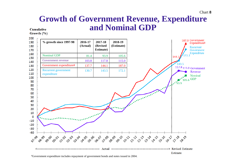#### **Growth of Government Revenue, Expenditure and Nominal GDPCumulative**

Growth (%)



#Government expenditure includes repayment of government bonds and notes issued in 2004.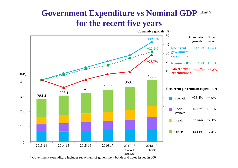#### **Government Expenditure vs Nominal GDP** Chart **9 for the recent five years**



# Government expenditure includes repayment of government bonds and notes issued in 2004.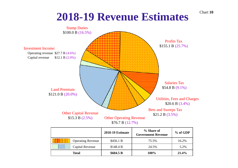### **2018-19 Revenue Estimates**

Chart **10**



|                          | <b>2018-19 Estimate</b> | % Share of<br><b>Government Revenue</b> | $%$ of GDP |
|--------------------------|-------------------------|-----------------------------------------|------------|
| <b>Operating Revenue</b> | \$456.1 B               | 75.5%                                   | 16.2%      |
| Capital Revenue          | \$148.4 B               | 24.5%                                   | 5.2%       |
| <b>Total</b>             | \$604.5 B               | 100%                                    | 21.4%      |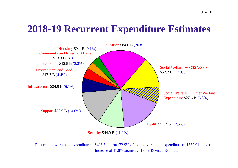#### **2018-19 Recurrent Expenditure Estimates**



Recurrent government expenditure: - \$406.5 billion (72.9% of total government expenditure of \$557.9 billion) - Increase of 11.8% against 2017-18 Revised Estimate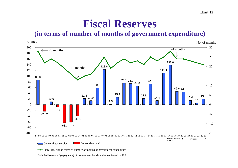#### **Fiscal Reserves**

**(in terms of number of months of government expenditure)**



Included issuance / (repayment) of government bonds and notes issued in 2004.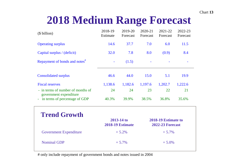#### Chart **13**

### **2018 Medium Range Forecast**

| (\$ billion)                                                | 2018-19<br>Estimate | 2019-20<br>Forecast                                                                     | 2020-21<br>Forecast | 2021-22<br>Forecast | 2022-23<br>Forecast |
|-------------------------------------------------------------|---------------------|-----------------------------------------------------------------------------------------|---------------------|---------------------|---------------------|
| <b>Operating surplus</b>                                    | 14.6                | 37.7                                                                                    | 7.0                 | 6.0                 | 11.5                |
| Capital surplus / (deficit)                                 | 32.0                | 7.8                                                                                     | 8.0                 | (0.9)               | 8.4                 |
| Repayment of bonds and notes <sup>#</sup>                   |                     | (1.5)                                                                                   |                     |                     |                     |
| <b>Consolidated surplus</b>                                 | 46.6                | 44.0                                                                                    | <b>15.0</b>         | 5.1                 | 19.9                |
| <b>Fiscal reserves</b>                                      | 1,138.6             | 1,182.6                                                                                 | 1,197.6             | 1,202.7             | 1,222.6             |
| - in terms of number of months of<br>government expenditure | 24                  | 24                                                                                      | 23                  | 22                  | 21                  |
| in terms of percentage of GDP                               | 40.3%               | 39.9%                                                                                   | 38.5%               | 36.8%               | 35.6%               |
| <b>Trend Growth</b>                                         |                     | 2013-14 to<br>2018-19 Estimate to<br><b>2018-19 Estimate</b><br><b>2022-23 Forecast</b> |                     |                     |                     |

Government Expenditure  $+ 5.2\% + 5.7\%$ Nominal GDP  $+5.7\%$  $+5.0%$ 

# only include repayment of government bonds and notes issued in 2004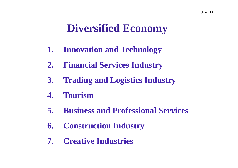### **Diversified Economy**

- **1. Innovation and Technology**
- **2. Financial Services Industry**
- **3. Trading and Logistics Industry**
- **4. Tourism**
- **5. Business and Professional Services**
- **6. Construction Industry**
- **7. Creative Industries**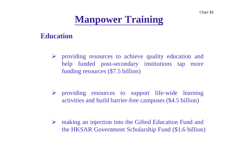#### **Manpower Training**

#### **Education**

- providing resources to achieve quality education and help funded post-secondary institutions tap more funding resources (\$7.5 billion)
- providing resources to suppor<sup>t</sup> life-wide learning activities and build barrier-free campuses (\$4.5 billion)
- making an injection into the Gifted Education Fund and the HKSAR Government Scholarship Fund (\$1.6 billion)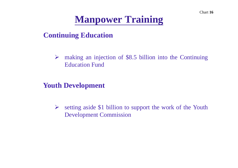Chart **16**

#### **Manpower Training**

**Continuing Education**

 making an injection of \$8.5 billion into the Continuing Education Fund

**Youth Development**

 $\blacktriangleright$  setting aside \$1 billion to suppor<sup>t</sup> the work of the Youth Development Commission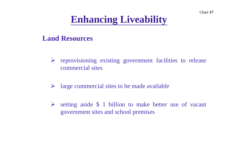Chart **17**

### **Enhancing Liveability**

#### **Land Resources**

- $\triangleright$  reprovisioning existing government facilities to release commercial sites
- $\blacktriangleright$ large commercial sites to be made available
- $\blacktriangleright$  setting aside \$ 1 billion to make better use of vacant governmen<sup>t</sup> sites and school premises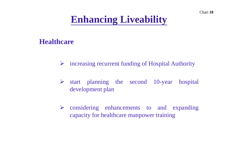#### **Healthcare**

- increasing recurrent funding of Hospital Authority
- $\triangleright$  start planning the second 10-year hospital development plan
- considering enhancements to and expanding capacity for healthcare manpower training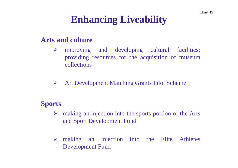#### **Arts and culture**

- $\blacktriangleright$  improving and developing cultural facilities; providing resources for the acquisition of museum collections
- $\blacktriangleright$ Art Development Matching Grants Pilot Scheme

#### **Sports**

- A making an injection into the sports portion of the Arts and Sport Development Fund
- making an injection into the Elite Athletes Development Fund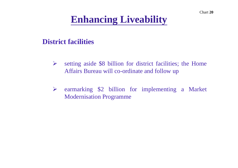#### **District facilities**

- $\blacktriangleright$  setting aside \$8 billion for district facilities; the Home Affairs Bureau will co-ordinate and follow up
- earmarking \$2 billion for implementing <sup>a</sup> Market Modernisation Programme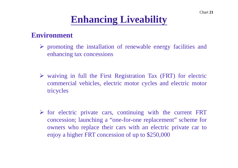#### **Environment**

- $\triangleright$  promoting the installation of renewable energy facilities and enhancing tax concessions
- $\triangleright$  waiving in full the First Registration Tax (FRT) for electric commercial vehicles, electric motor cycles and electric motor tricycles
- $\triangleright$  for electric private cars, continuing with the current FRT concession; launching <sup>a</sup> "one-for-one replacement" scheme for owners who replace their cars with an electric private car to enjoy <sup>a</sup> higher FRT concession of up to \$250,000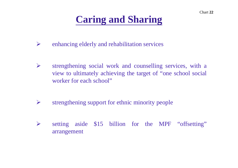- enhancing elderly and rehabilitation services
- $\blacktriangleright$  strengthening social work and counselling services, with <sup>a</sup> view to ultimately achieving the target of "one school social worker for each school"
- $\blacktriangleright$ strengthening suppor<sup>t</sup> for ethnic minority people
- $\blacktriangleright$ setting aside \$15 billion for the MPF "offsetting" arrangement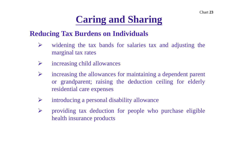#### **Reducing Tax Burdens on Individuals**

- $\sum_{i=1}^{n}$  widening the tax bands for salaries tax and adjusting the marginal tax rates
- $\blacktriangleright$ increasing child allowances
- $\sum_{i=1}^{n}$  increasing the allowances for maintaining <sup>a</sup> dependent paren<sup>t</sup> or grandparent; raising the deduction ceiling for elderly residential care expenses
- $\blacktriangleright$ introducing <sup>a</sup> personal disability allowance
- $\blacktriangleright$  providing tax deduction for people who purchase eligible health insurance products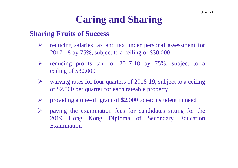#### **Sharing Fruits of Success**

- $\blacktriangleright$  reducing salaries tax and tax under personal assessment for 2017-18 by 75%, subject to <sup>a</sup> ceiling of \$30,000
- $\sum_{i=1}^{n}$  reducing profits tax for 2017-18 by 75%, subject to <sup>a</sup> ceiling of \$30,000
- $\blacktriangleright$  waiving rates for four quarters of 2018-19, subject to <sup>a</sup> ceiling of \$2,500 per quarter for each rateable property
- $\blacktriangleright$ providing <sup>a</sup> one-off gran<sup>t</sup> of \$2,000 to each student in need
- $\sum_{i=1}^{n}$  paying the examination fees for candidates sitting for the 2019 Hong Kong Diploma of Secondary Education Examination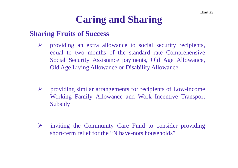#### **Sharing Fruits of Success**

- $\blacktriangleright$  providing an extra allowance to social security recipients, equal to two months of the standard rate Comprehensive Social Security Assistance payments, Old Age Allowance, Old Age Living Allowance or Disability Allowance
- providing similar arrangements for recipients of Low-income Working Family Allowance and Work Incentive Transport Subsidy
- $\blacktriangleright$  inviting the Community Care Fund to consider providing short-term relief for the "N have-nots households"